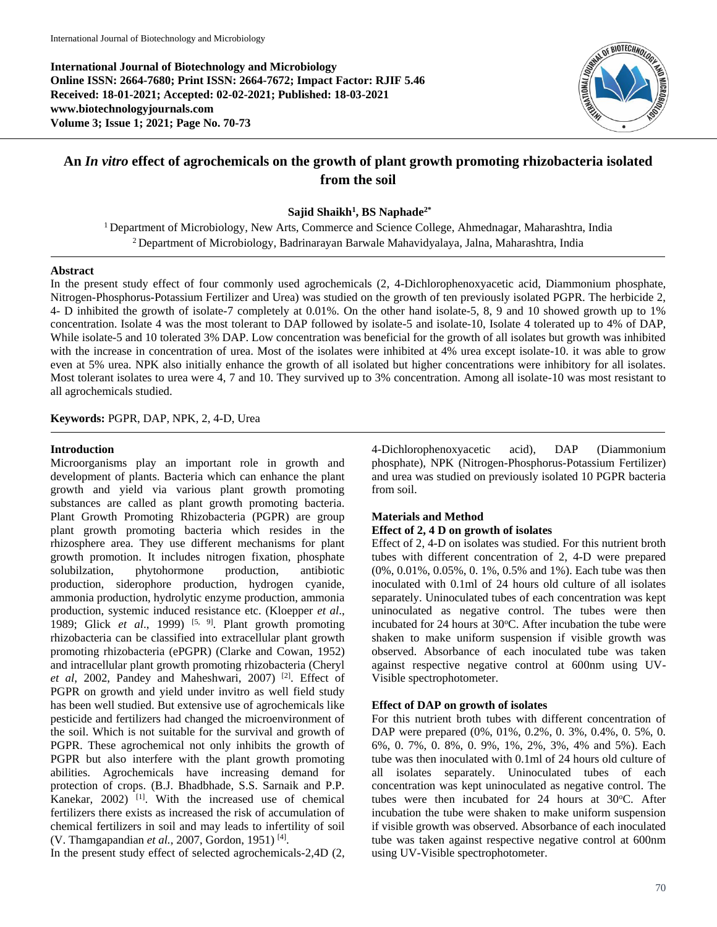**International Journal of Biotechnology and Microbiology Online ISSN: 2664-7680; Print ISSN: 2664-7672; Impact Factor: RJIF 5.46 Received: 18-01-2021; Accepted: 02-02-2021; Published: 18-03-2021 www.biotechnologyjournals.com Volume 3; Issue 1; 2021; Page No. 70-73**



# **An** *In vitro* **effect of agrochemicals on the growth of plant growth promoting rhizobacteria isolated from the soil**

**Sajid Shaikh<sup>1</sup> , BS Naphade2\***

<sup>1</sup> Department of Microbiology, New Arts, Commerce and Science College, Ahmednagar, Maharashtra, India <sup>2</sup> Department of Microbiology, Badrinarayan Barwale Mahavidyalaya, Jalna, Maharashtra, India

#### **Abstract**

In the present study effect of four commonly used agrochemicals (2, 4-Dichlorophenoxyacetic acid, Diammonium phosphate, Nitrogen-Phosphorus-Potassium Fertilizer and Urea) was studied on the growth of ten previously isolated PGPR. The herbicide 2, 4- D inhibited the growth of isolate-7 completely at 0.01%. On the other hand isolate-5, 8, 9 and 10 showed growth up to 1% concentration. Isolate 4 was the most tolerant to DAP followed by isolate-5 and isolate-10, Isolate 4 tolerated up to 4% of DAP, While isolate-5 and 10 tolerated 3% DAP. Low concentration was beneficial for the growth of all isolates but growth was inhibited with the increase in concentration of urea. Most of the isolates were inhibited at 4% urea except isolate-10. it was able to grow even at 5% urea. NPK also initially enhance the growth of all isolated but higher concentrations were inhibitory for all isolates. Most tolerant isolates to urea were 4, 7 and 10. They survived up to 3% concentration. Among all isolate-10 was most resistant to all agrochemicals studied.

**Keywords:** PGPR, DAP, NPK, 2, 4-D, Urea

### **Introduction**

Microorganisms play an important role in growth and development of plants. Bacteria which can enhance the plant growth and yield via various plant growth promoting substances are called as plant growth promoting bacteria. Plant Growth Promoting Rhizobacteria (PGPR) are group plant growth promoting bacteria which resides in the rhizosphere area. They use different mechanisms for plant growth promotion. It includes nitrogen fixation, phosphate solubilzation, phytohormone production, antibiotic production, siderophore production, hydrogen cyanide, ammonia production, hydrolytic enzyme production, ammonia production, systemic induced resistance etc. (Kloepper *et al*., 1989; Glick *et al.*, 1999) <sup>[5, 9]</sup>. Plant growth promoting rhizobacteria can be classified into extracellular plant growth promoting rhizobacteria (ePGPR) (Clarke and Cowan, 1952) and intracellular plant growth promoting rhizobacteria (Cheryl *et al*, 2002, Pandey and Maheshwari, 2007) [2] . Effect of PGPR on growth and yield under invitro as well field study has been well studied. But extensive use of agrochemicals like pesticide and fertilizers had changed the microenvironment of the soil. Which is not suitable for the survival and growth of PGPR. These agrochemical not only inhibits the growth of PGPR but also interfere with the plant growth promoting abilities. Agrochemicals have increasing demand for protection of crops. (B.J. Bhadbhade, S.S. Sarnaik and P.P. Kanekar,  $2002$ ) <sup>[1]</sup>. With the increased use of chemical fertilizers there exists as increased the risk of accumulation of chemical fertilizers in soil and may leads to infertility of soil (V. Thamgapandian et al., 2007, Gordon, 1951)<sup>[4]</sup>.

In the present study effect of selected agrochemicals-2,4D (2,

4-Dichlorophenoxyacetic acid), DAP (Diammonium phosphate), NPK (Nitrogen-Phosphorus-Potassium Fertilizer) and urea was studied on previously isolated 10 PGPR bacteria from soil.

# **Materials and Method**

#### **Effect of 2, 4 D on growth of isolates**

Effect of 2, 4-D on isolates was studied. For this nutrient broth tubes with different concentration of 2, 4-D were prepared (0%, 0.01%, 0.05%, 0. 1%, 0.5% and 1%). Each tube was then inoculated with 0.1ml of 24 hours old culture of all isolates separately. Uninoculated tubes of each concentration was kept uninoculated as negative control. The tubes were then incubated for  $24$  hours at  $30^{\circ}$ C. After incubation the tube were shaken to make uniform suspension if visible growth was observed. Absorbance of each inoculated tube was taken against respective negative control at 600nm using UV-Visible spectrophotometer.

# **Effect of DAP on growth of isolates**

For this nutrient broth tubes with different concentration of DAP were prepared (0%, 01%, 0.2%, 0. 3%, 0.4%, 0. 5%, 0. 6%, 0. 7%, 0. 8%, 0. 9%, 1%, 2%, 3%, 4% and 5%). Each tube was then inoculated with 0.1ml of 24 hours old culture of all isolates separately. Uninoculated tubes of each concentration was kept uninoculated as negative control. The tubes were then incubated for  $24$  hours at  $30^{\circ}$ C. After incubation the tube were shaken to make uniform suspension if visible growth was observed. Absorbance of each inoculated tube was taken against respective negative control at 600nm using UV-Visible spectrophotometer.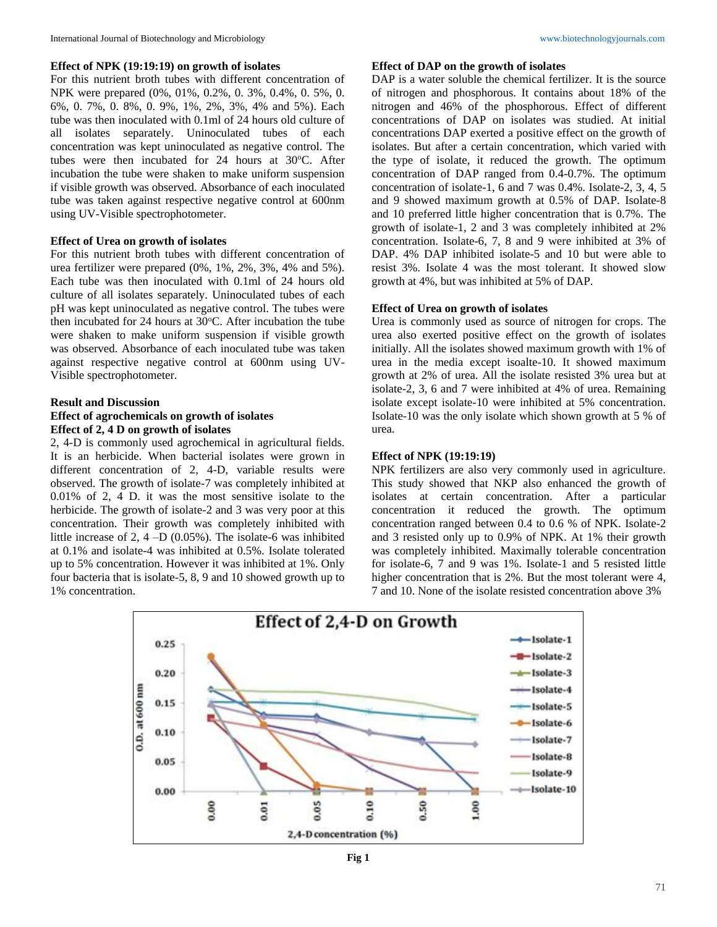#### **Effect of NPK (19:19:19) on growth of isolates**

For this nutrient broth tubes with different concentration of NPK were prepared (0%, 01%, 0.2%, 0. 3%, 0.4%, 0. 5%, 0. 6%, 0. 7%, 0. 8%, 0. 9%, 1%, 2%, 3%, 4% and 5%). Each tube was then inoculated with 0.1ml of 24 hours old culture of all isolates separately. Uninoculated tubes of each concentration was kept uninoculated as negative control. The tubes were then incubated for  $24$  hours at  $30^{\circ}$ C. After incubation the tube were shaken to make uniform suspension if visible growth was observed. Absorbance of each inoculated tube was taken against respective negative control at 600nm using UV-Visible spectrophotometer.

#### **Effect of Urea on growth of isolates**

For this nutrient broth tubes with different concentration of urea fertilizer were prepared (0%, 1%, 2%, 3%, 4% and 5%). Each tube was then inoculated with 0.1ml of 24 hours old culture of all isolates separately. Uninoculated tubes of each pH was kept uninoculated as negative control. The tubes were then incubated for 24 hours at  $30^{\circ}$ C. After incubation the tube were shaken to make uniform suspension if visible growth was observed. Absorbance of each inoculated tube was taken against respective negative control at 600nm using UV-Visible spectrophotometer.

# **Result and Discussion Effect of agrochemicals on growth of isolates Effect of 2, 4 D on growth of isolates**

2, 4-D is commonly used agrochemical in agricultural fields. It is an herbicide. When bacterial isolates were grown in different concentration of 2, 4-D, variable results were observed. The growth of isolate-7 was completely inhibited at 0.01% of 2, 4 D. it was the most sensitive isolate to the herbicide. The growth of isolate-2 and 3 was very poor at this concentration. Their growth was completely inhibited with little increase of 2, 4 –D (0.05%). The isolate-6 was inhibited at 0.1% and isolate-4 was inhibited at 0.5%. Isolate tolerated up to 5% concentration. However it was inhibited at 1%. Only four bacteria that is isolate-5, 8, 9 and 10 showed growth up to 1% concentration.

# **Effect of DAP on the growth of isolates**

DAP is a water soluble the chemical fertilizer. It is the source of nitrogen and phosphorous. It contains about 18% of the nitrogen and 46% of the phosphorous. Effect of different concentrations of DAP on isolates was studied. At initial concentrations DAP exerted a positive effect on the growth of isolates. But after a certain concentration, which varied with the type of isolate, it reduced the growth. The optimum concentration of DAP ranged from 0.4-0.7%. The optimum concentration of isolate-1, 6 and 7 was 0.4%. Isolate-2, 3, 4, 5 and 9 showed maximum growth at 0.5% of DAP. Isolate-8 and 10 preferred little higher concentration that is 0.7%. The growth of isolate-1, 2 and 3 was completely inhibited at 2% concentration. Isolate-6, 7, 8 and 9 were inhibited at 3% of DAP. 4% DAP inhibited isolate-5 and 10 but were able to resist 3%. Isolate 4 was the most tolerant. It showed slow growth at 4%, but was inhibited at 5% of DAP.

## **Effect of Urea on growth of isolates**

Urea is commonly used as source of nitrogen for crops. The urea also exerted positive effect on the growth of isolates initially. All the isolates showed maximum growth with 1% of urea in the media except isoalte-10. It showed maximum growth at 2% of urea. All the isolate resisted 3% urea but at isolate-2, 3, 6 and 7 were inhibited at 4% of urea. Remaining isolate except isolate-10 were inhibited at 5% concentration. Isolate-10 was the only isolate which shown growth at 5 % of urea.

#### **Effect of NPK (19:19:19)**

NPK fertilizers are also very commonly used in agriculture. This study showed that NKP also enhanced the growth of isolates at certain concentration. After a particular concentration it reduced the growth. The optimum concentration ranged between 0.4 to 0.6 % of NPK. Isolate-2 and 3 resisted only up to 0.9% of NPK. At 1% their growth was completely inhibited. Maximally tolerable concentration for isolate-6, 7 and 9 was 1%. Isolate-1 and 5 resisted little higher concentration that is 2%. But the most tolerant were 4, 7 and 10. None of the isolate resisted concentration above 3%



**Fig 1**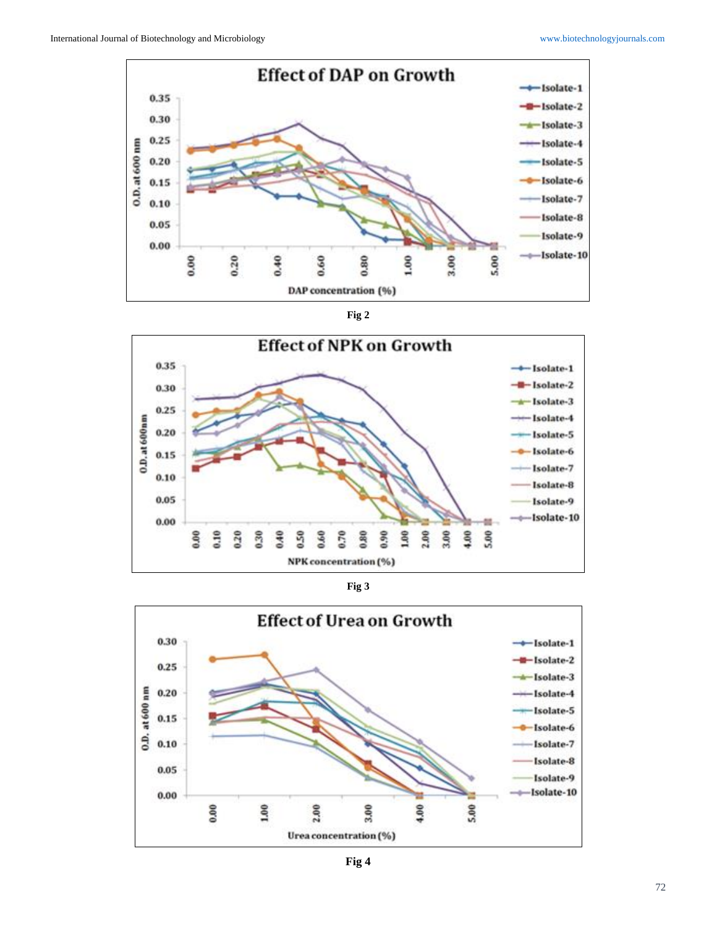





**Fig 3**



**Fig 4**